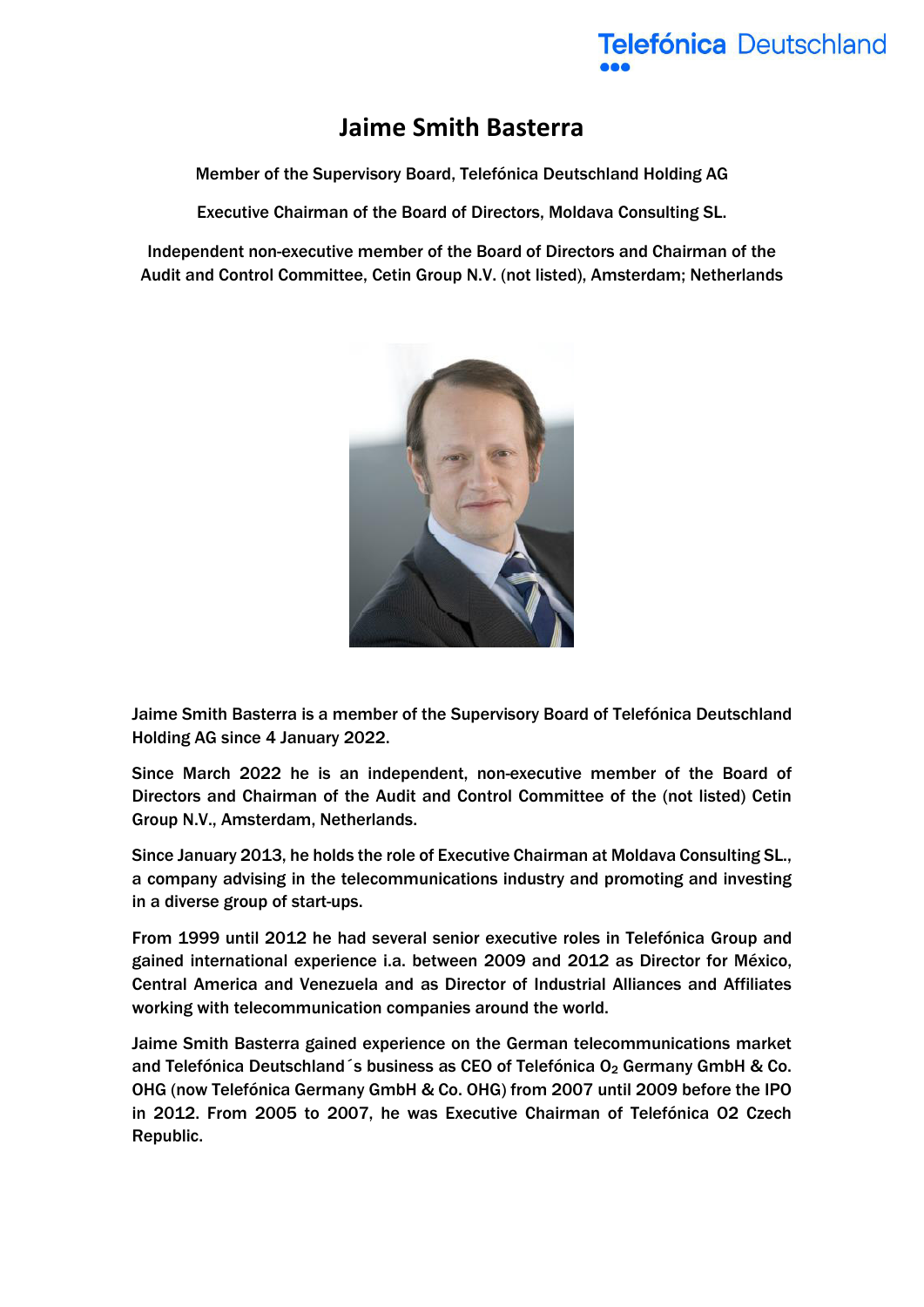## **Jaime Smith Basterra**

Member of the Supervisory Board, Telefónica Deutschland Holding AG

Executive Chairman of the Board of Directors, Moldava Consulting SL.

Independent non-executive member of the Board of Directors and Chairman of the Audit and Control Committee, Cetin Group N.V. (not listed), Amsterdam; Netherlands



Jaime Smith Basterra is a member of the Supervisory Board of Telefónica Deutschland Holding AG since 4 January 2022.

Since March 2022 he is an independent, non-executive member of the Board of Directors and Chairman of the Audit and Control Committee of the (not listed) Cetin Group N.V., Amsterdam, Netherlands.

Since January 2013, he holds the role of Executive Chairman at Moldava Consulting SL., a company advising in the telecommunications industry and promoting and investing in a diverse group of start-ups.

From 1999 until 2012 he had several senior executive roles in Telefónica Group and gained international experience i.a. between 2009 and 2012 as Director for México, Central America and Venezuela and as Director of Industrial Alliances and Affiliates working with telecommunication companies around the world.

Jaime Smith Basterra gained experience on the German telecommunications market and Telefónica Deutschland s business as CEO of Telefónica O<sub>2</sub> Germany GmbH & Co. OHG (now Telefónica Germany GmbH & Co. OHG) from 2007 until 2009 before the IPO in 2012. From 2005 to 2007, he was Executive Chairman of Telefónica O2 Czech Republic.